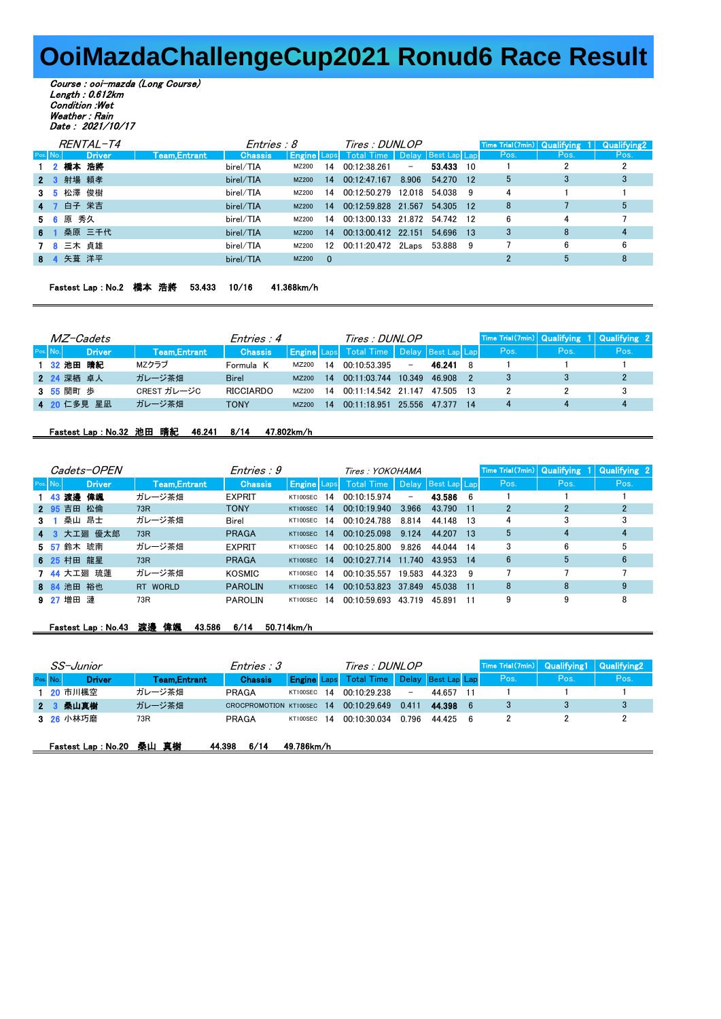## **OoiMazdaChallengeCup2021 Ronud6 Race Result**

Course : ooi-mazda (Long Course) Length : 0.612km Condition :Wet Weather : Rain Date : 2021/10/17

|          | RENTAL-T4     |              | Entries : 8    |              |     | <i>Tires : DUNLOP</i>                                |        |           |      | $\lceil$ Time Trial $(7min)$ Qualifying $1 \rceil$ | <b>Qualifying2</b> |
|----------|---------------|--------------|----------------|--------------|-----|------------------------------------------------------|--------|-----------|------|----------------------------------------------------|--------------------|
| Pos. No. | <b>Driver</b> | Team,Entrant | <b>Chassis</b> |              |     | <b>Engine</b> Laps Total Time   Delay   Best Lap Lap |        |           | Pos. | Pos.                                               | Pos.               |
|          | 2 橋本 浩將       |              | birel/TIA      | MZ200        | 14  | 00:12:38.261                                         | $\sim$ | 53.433 10 |      |                                                    |                    |
|          | 2 3 射場 頼孝     |              | birel/TIA      | <b>MZ200</b> |     | 14 00:12:47.167                                      | 8.906  | 54.270 12 | 5    | 3                                                  | 3                  |
|          | 3 5 松澤 俊樹     |              | birel/TIA      | MZ200        | 14  | 00:12:50.279 12.018 54.038 9                         |        |           | 4    |                                                    |                    |
|          | 4 7 白子 栄吉     |              | birel/TIA      | MZ200        |     | 14 00:12:59.828 21.567 54.305 12                     |        |           | 8    |                                                    | 5                  |
|          | 5 6 原 秀久      |              | birel/TIA      | MZ200        | 14  | 00:13:00.133 21.872 54.742 12                        |        |           | 6    | 4                                                  |                    |
|          | 6 1 桑原 三千代    |              | birel/TIA      | <b>MZ200</b> |     | 14 00:13:00.412 22.151                               |        | 54.696 13 | 3    | 8                                                  | 4                  |
|          | 7 8 三木 貞雄     |              | birel/TIA      | MZ200        | 12  | 00:11:20.472 2Laps 53.888 9                          |        |           |      | 6                                                  | 6                  |
|          | 8 4 矢葺 洋平     |              | birel/TIA      | MZ200        | - 0 |                                                      |        |           |      | 5                                                  | 8                  |
|          |               |              |                |              |     |                                                      |        |           |      |                                                    |                    |

| Fastest Lap : No.2 橋本 浩將 53.433 10/16 |  |  | 41.368km/h |
|---------------------------------------|--|--|------------|
|                                       |  |  |            |

| <i>MZ-Cadets</i> |               |               | Entries : 4      |              |    | Tires : DUNLOP                                  |                          |        |                 |      |      | Time Trial(7min) Qualifying 1 Qualifying 2 |
|------------------|---------------|---------------|------------------|--------------|----|-------------------------------------------------|--------------------------|--------|-----------------|------|------|--------------------------------------------|
| Pos. No.         | <b>Driver</b> | Team, Entrant | <b>Chassis</b>   |              |    | Engine Laps Total Time   Delay   Best Lap Lap \ |                          |        |                 | Pos. | Pos. | Pos.                                       |
|                  | 1 32 池田 晴紀    | MZクラブ         | Formula K        | MZ200        | 14 | 00:10:53.395                                    | $\overline{\phantom{0}}$ | 46.241 | - 8             |      |      |                                            |
|                  | 2 24 深栖 卓人    | ガレージ茶畑        | <b>Birel</b>     | <b>MZ200</b> | 14 | 00.11.03744                                     | 10.349                   | 46 908 | - 2             |      |      |                                            |
|                  | 3 55 関町 歩     | CREST ガレージC   | <b>RICCIARDO</b> | MZ200        | 14 | $00.11.14542$ 21 147                            |                          | 47 505 | - 13            |      |      |                                            |
|                  | 4 20 仁多見 星凪   | ガレージ茶畑        | TONY             | MZ200        | 14 | 00.11.18951                                     | 25.556                   | 47 377 | $\overline{14}$ |      |      |                                            |

## Fastest Lap : No.32 池田 晴紀 46.241 8/14 47.802km/h

|    |          | <i>Cadets-OPEN</i> |              | Entries : 9    |                    |     | Tires: YOKOHAMA |                   |                    |     |      | Time Trial(7min)   Qualifying 1   Qualifying 2 |      |
|----|----------|--------------------|--------------|----------------|--------------------|-----|-----------------|-------------------|--------------------|-----|------|------------------------------------------------|------|
|    | Pos. No. | <b>Driver</b>      | Team,Entrant | <b>Chassis</b> | <b>Engine Laps</b> |     | Total Time I    |                   | Delay Best Lap Lap |     | Pos. | Pos.                                           | Pos. |
|    |          | 1 43 渡邊<br>偉姐      | ガレージ茶畑       | <b>EXPRIT</b>  | KT100SEC           | 14  | 00.10.15.974    | $\qquad \qquad -$ | 43.586             | - 6 |      |                                                |      |
|    |          | 2 95 吉田 松倫         | 73R          | <b>TONY</b>    | KT100SEC           | -14 | 00.10.19940     | 3.966             | 43.790             | -11 |      |                                                |      |
| 31 |          | 桑山 昂士              | ガレージ茶畑       | Birel          | KT100SEC           | 14  | 00.10.24788     | 8.814             | 44.148             | -13 | 4    |                                                |      |
|    | 4 3      | 大工廻 優太郎            | 73R          | PRAGA          | KT100SEC           | -14 | 00.10.25098     | 9.124             | 44.207             | 13  |      |                                                |      |
|    |          | 5 57 鈴木 琥南         | ガレージ茶畑       | <b>EXPRIT</b>  | KT100SEC           | -14 | 00.10.25800     | 9826              | 44 044             | 14  | 3    | 6                                              | 5    |
|    |          | 6 25 村田 龍星         | 73R          | PRAGA          | KT100SEC           | -14 | 00.10.27714     | 11 740            | 43 953             | -14 | 6    | 5                                              | 6    |
|    |          | 7 44 大工廻 琉蓮        | ガレージ茶畑       | KOSMIC         | KT100SEC           | -14 | 00.10.35557     | 19.583            | 44 323             | - 9 |      |                                                |      |
|    |          | 8 84 池田 裕也         | RT WORLD     | <b>PAROLIN</b> | KT100SEC 14        |     | 00.10.53823     | 37849             | 45 038             | 11  | 8    | 8                                              | 9    |
|    |          | 9 27 增田 漣          | 73R          | <b>PAROLIN</b> | KT100SEC           | 14  | 00.10.59693     | 43.719            | 45.891             | 11  | 9    |                                                | 8    |

## Fastest Lap : No.43 渡邊 偉颯 43.586 6/14 50.714km/h

|          | SS-Junior           |              | <i>Entries : 3</i>        |                    | Tires : DUNLOP                |                          |                    |      | Time Trial(7min) Qualifying1 Qualifying2 |      |      |
|----------|---------------------|--------------|---------------------------|--------------------|-------------------------------|--------------------------|--------------------|------|------------------------------------------|------|------|
| Pos. No. | <b>Driver</b>       | Team,Entrant | <b>Chassis</b>            |                    | <b>Engine Laps</b> Total Time |                          | Delay Best Lap Lap |      | Pos.                                     | Pos. | Pos. |
|          | 1 20 市川楓空           | ガレージ茶畑       | PRAGA                     | <b>KT100SEC 14</b> | 00:10:29.238                  | $\overline{\phantom{a}}$ | 44.657             | - 11 |                                          |      |      |
|          | 2 3 桑山真樹            | ガレージ茶畑       | CROCPROMOTION KT100SEC 14 |                    | 00.10.29649                   | 0.411                    | 44.398 6           |      |                                          |      | 3    |
|          | 3 26 小林巧磨           | 73R          | PRAGA                     | KT100SEC 14        | 00.10.30034                   | 0 796                    | 44 4 25 6          |      |                                          |      |      |
|          | Fastest Lap : No.20 | 桑山 真樹        | 6/14<br>44.398            | 49.786km/h         |                               |                          |                    |      |                                          |      |      |